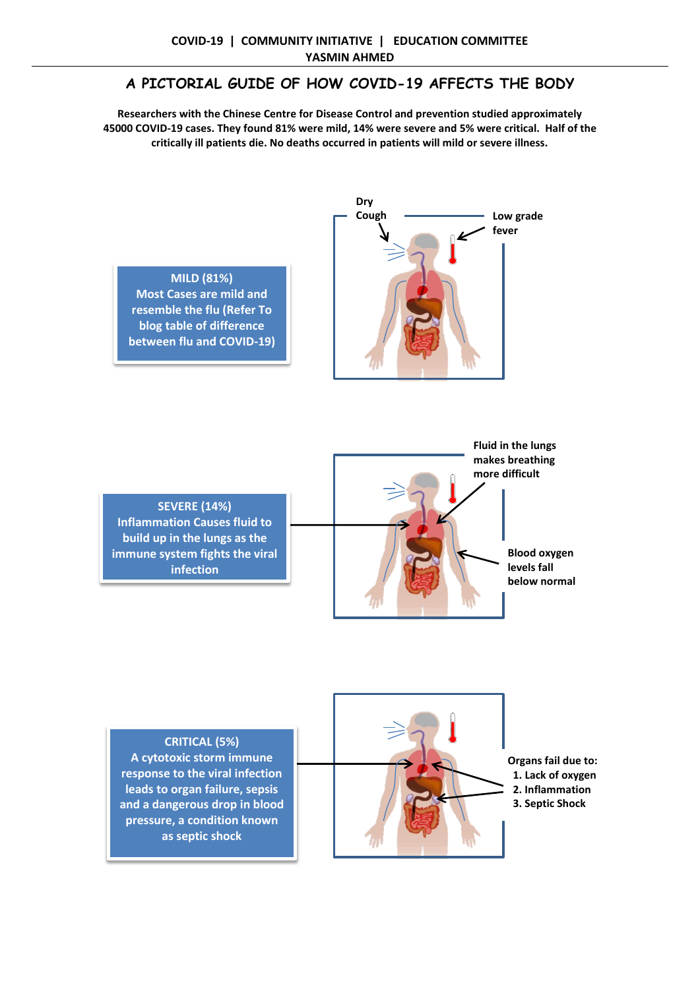## **A PICTORIAL GUIDE OF HOW COVID-19 AFFECTS THE BODY**

**Researchers with the Chinese Centre for Disease Control and prevention studied approximately 45000 COVID-19 cases. They found 81% were mild, 14% were severe and 5% were critical. Half of the critically ill patients die. No deaths occurred in patients will mild or severe illness.**



**MILD (81%) Most Cases are mild and resemble the flu (Refer To blog table of difference between flu and COVID-19)**

**SEVERE (14%) Inflammation Causes fluid to build up in the lungs as the immune system fights the viral infection**



**CRITICAL (5%) A cytotoxic storm immune response to the viral infection leads to organ failure, sepsis and a dangerous drop in blood pressure, a condition known as septic shock**



**Organs fail due to: 1. Lack of oxygen 2. Inflammation 3. Septic Shock**